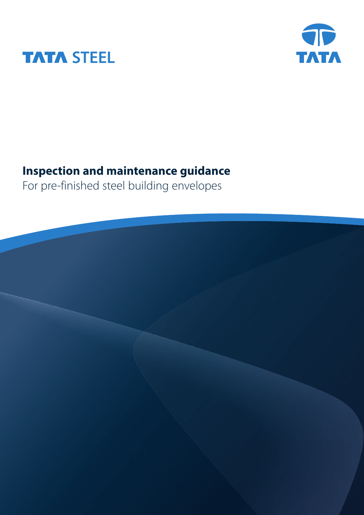



# **Inspection and maintenance guidance**

For pre-finished steel building envelopes

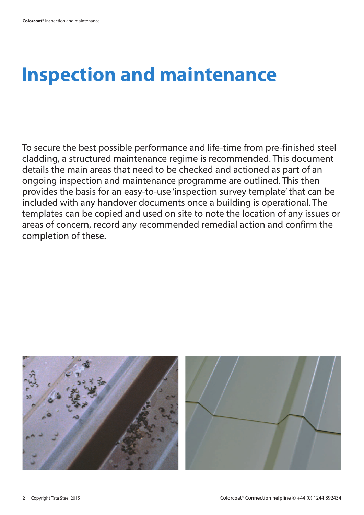# **Inspection and maintenance**

To secure the best possible performance and life-time from pre-finished steel cladding, a structured maintenance regime is recommended. This document details the main areas that need to be checked and actioned as part of an ongoing inspection and maintenance programme are outlined. This then provides the basis for an easy-to-use 'inspection survey template' that can be included with any handover documents once a building is operational. The templates can be copied and used on site to note the location of any issues or areas of concern, record any recommended remedial action and confirm the completion of these.

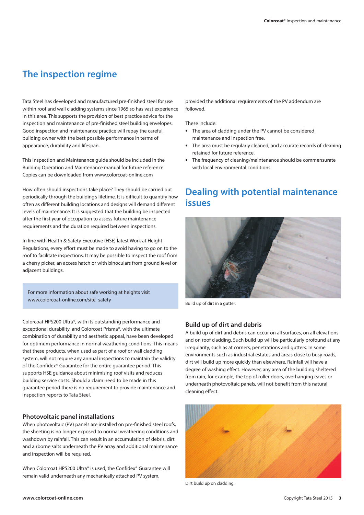### **The inspection regime**

Tata Steel has developed and manufactured pre-finished steel for use within roof and wall cladding systems since 1965 so has vast experience in this area. This supports the provision of best practice advice for the inspection and maintenance of pre-finished steel building envelopes. Good inspection and maintenance practice will repay the careful building owner with the best possible performance in terms of appearance, durability and lifespan.

This Inspection and Maintenance guide should be included in the Building Operation and Maintenance manual for future reference. Copies can be downloaded from www.colorcoat-online.com

How often should inspections take place? They should be carried out periodically through the building's lifetime. It is difficult to quantify how often as different building locations and designs will demand different levels of maintenance. It is suggested that the building be inspected after the first year of occupation to assess future maintenance requirements and the duration required between inspections.

In line with Health & Safety Executive (HSE) latest Work at Height Regulations, every effort must be made to avoid having to go on to the roof to facilitate inspections. It may be possible to inspect the roof from a cherry picker, an access hatch or with binoculars from ground level or adjacent buildings.

For more information about safe working at heights visit www.colorcoat-online.com/site\_safety

Colorcoat HPS200 Ultra®, with its outstanding performance and exceptional durability, and Colorcoat Prisma®, with the ultimate combination of durability and aesthetic appeal, have been developed for optimum performance in normal weathering conditions. This means that these products, when used as part of a roof or wall cladding system, will not require any annual inspections to maintain the validity of the Confidex® Guarantee for the entire guarantee period. This supports HSE guidance about minimising roof visits and reduces building service costs. Should a claim need to be made in this guarantee period there is no requirement to provide maintenance and inspection reports to Tata Steel.

#### **Photovoltaic panel installations**

When photovoltaic (PV) panels are installed on pre-finished steel roofs, the sheeting is no longer exposed to normal weathering conditions and washdown by rainfall. This can result in an accumulation of debris, dirt and airborne salts underneath the PV array and additional maintenance and inspection will be required.

When Colorcoat HPS200 Ultra® is used, the Confidex® Guarantee will remain valid underneath any mechanically attached PV system,

provided the additional requirements of the PV addendum are followed.

These include:

- **•** The area of cladding under the PV cannot be considered maintenance and inspection free.
- **•** The area must be regularly cleaned, and accurate records of cleaning retained for future reference.
- **•** The frequency of cleaning/maintenance should be commensurate with local environmental conditions.

### **Dealing with potential maintenance issues**



Build up of dirt in a gutter.

#### **Build up of dirt and debris**

A build up of dirt and debris can occur on all surfaces, on all elevations and on roof cladding. Such build up will be particularly profound at any irregularity, such as at corners, penetrations and gutters. In some environments such as industrial estates and areas close to busy roads, dirt will build up more quickly than elsewhere. Rainfall will have a degree of washing effect. However, any area of the building sheltered from rain, for example, the top of roller doors, overhanging eaves or underneath photovoltaic panels, will not benefit from this natural cleaning effect.



Dirt build up on cladding.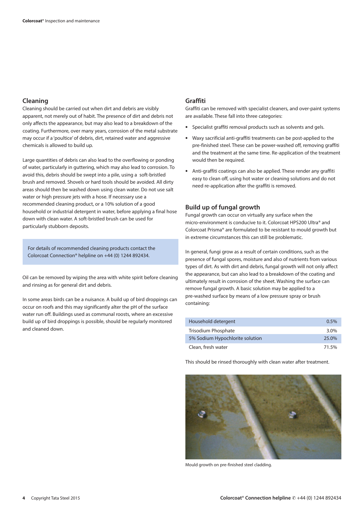#### **Cleaning**

Cleaning should be carried out when dirt and debris are visibly apparent, not merely out of habit. The presence of dirt and debris not only affects the appearance, but may also lead to a breakdown of the coating. Furthermore, over many years, corrosion of the metal substrate may occur if a 'poultice' of debris, dirt, retained water and aggressive chemicals is allowed to build up.

Large quantities of debris can also lead to the overflowing or ponding of water, particularly in guttering, which may also lead to corrosion. To avoid this, debris should be swept into a pile, using a soft-bristled brush and removed. Shovels or hard tools should be avoided. All dirty areas should then be washed down using clean water. Do not use salt water or high pressure jets with a hose. If necessary use a recommended cleaning product, or a 10% solution of a good household or industrial detergent in water, before applying a final hose down with clean water. A soft-bristled brush can be used for particularly stubborn deposits.

For details of recommended cleaning products contact the Colorcoat Connection® helpline on +44 (0) 1244 892434.

Oil can be removed by wiping the area with white spirit before cleaning and rinsing as for general dirt and debris.

In some areas birds can be a nuisance. A build up of bird droppings can occur on roofs and this may significantly alter the pH of the surface water run off. Buildings used as communal roosts, where an excessive build up of bird droppings is possible, should be regularly monitored and cleaned down.

#### **Graffiti**

Graffiti can be removed with specialist cleaners, and over-paint systems are available. These fall into three categories:

- **•** Specialist graffiti removal products such as solvents and gels.
- **•** Waxy sacrificial anti-graffiti treatments can be post-applied to the pre-finished steel. These can be power-washed off, removing graffiti and the treatment at the same time. Re-application of the treatment would then be required.
- **•** Anti-graffiti coatings can also be applied. These render any graffiti easy to clean off, using hot water or cleaning solutions and do not need re-application after the graffiti is removed.

#### **Build up of fungal growth**

Fungal growth can occur on virtually any surface when the micro-environment is conducive to it. Colorcoat HPS200 Ultra® and Colorcoat Prisma® are formulated to be resistant to mould growth but in extreme circumstances this can still be problematic.

In general, fungi grow as a result of certain conditions, such as the presence of fungal spores, moisture and also of nutrients from various types of dirt. As with dirt and debris, fungal growth will not only affect the appearance, but can also lead to a breakdown of the coating and ultimately result in corrosion of the sheet. Washing the surface can remove fungal growth. A basic solution may be applied to a pre-washed surface by means of a low pressure spray or brush containing:

| Household detergent             | $0.5\%$ |
|---------------------------------|---------|
| Trisodium Phosphate             | $3.0\%$ |
| 5% Sodium Hypochlorite solution | 25.0%   |
| Clean, fresh water              | 71.5%   |

This should be rinsed thoroughly with clean water after treatment.



Mould growth on pre-finished steel cladding.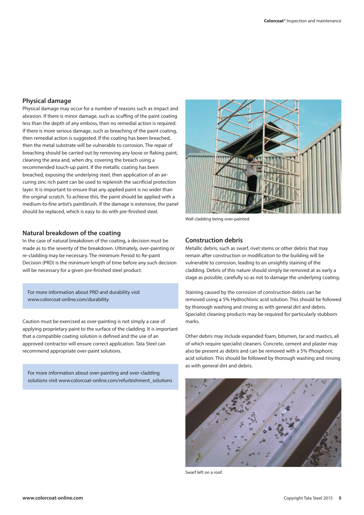#### **Physical damage**

Physical damage may occur for a number of reasons such as impact and abrasion. If there is minor damage, such as scuffing of the paint coating less than the depth of any emboss, then no remedial action is required. If there is more serious damage, such as breaching of the paint coating, then remedial action is suggested. If the coating has been breached, then the metal substrate will be vulnerable to corrosion. The repair of breaching should be carried out by removing any loose or flaking paint, cleaning the area and, when dry, covering the breach using a recommended touch-up paint. If the metallic coating has been breached, exposing the underlying steel, then application of an aircuring zinc rich paint can be used to replenish the sacrificial protection layer. It is important to ensure that any applied paint is no wider than the original scratch. To achieve this, the paint should be applied with a medium-to-fine artist's paintbrush. If the damage is extensive, the panel should be replaced, which is easy to do with pre-finished steel.

#### **Natural breakdown of the coating**

In the case of natural breakdown of the coating, a decision must be made as to the severity of the breakdown. Ultimately, over-painting or re-cladding may be necessary. The minimum Period to Re-paint Decision (PRD) is the minimum length of time before any such decision will be necessary for a given pre-finished steel product.

For more information about PRD and durability visit www.colorcoat-online.com/durability

Caution must be exercised as over-painting is not simply a case of applying proprietary paint to the surface of the cladding. It is important that a compatible coating solution is defined and the use of an approved contractor will ensure correct application. Tata Steel can recommend appropriate over-paint solutions.

For more information about over-painting and over-cladding solutions visit www.colorcoat-online.com/refurbishment\_solutions



Wall cladding being over-painted.

#### **Construction debris**

Metallic debris, such as swarf, rivet stems or other debris that may remain after construction or modification to the building will be vulnerable to corrosion, leading to an unsightly staining of the cladding. Debris of this nature should simply be removed at as early a stage as possible, carefully so as not to damage the underlying coating.

Staining caused by the corrosion of construction debris can be removed using a 5% Hydrochloric acid solution. This should be followed by thorough washing and rinsing as with general dirt and debris. Specialist cleaning products may be required for particularly stubborn marks.

Other debris may include expanded foam, bitumen, tar and mastics, all of which require specialist cleaners. Concrete, cement and plaster may also be present as debris and can be removed with a 5% Phosphoric acid solution. This should be followed by thorough washing and rinsing as with general dirt and debris.



Swarf left on a roof.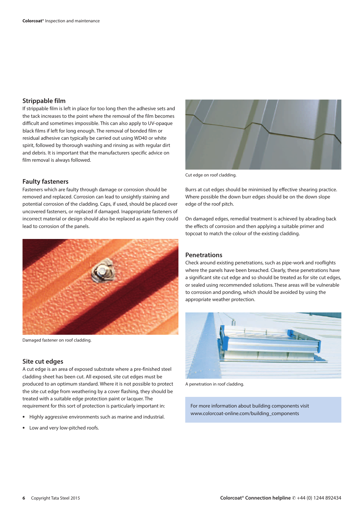#### **Strippable film**

If strippable film is left in place for too long then the adhesive sets and the tack increases to the point where the removal of the film becomes difficult and sometimes impossible. This can also apply to UV-opaque black films if left for long enough. The removal of bonded film or residual adhesive can typically be carried out using WD40 or white spirit, followed by thorough washing and rinsing as with regular dirt and debris. It is important that the manufacturers specific advice on film removal is always followed.

#### **Faulty fasteners**

Fasteners which are faulty through damage or corrosion should be removed and replaced. Corrosion can lead to unsightly staining and potential corrosion of the cladding. Caps, if used, should be placed over uncovered fasteners, or replaced if damaged. Inappropriate fasteners of incorrect material or design should also be replaced as again they could lead to corrosion of the panels.



Damaged fastener on roof cladding.

#### **Site cut edges**

A cut edge is an area of exposed substrate where a pre-finished steel cladding sheet has been cut. All exposed, site cut edges must be produced to an optimum standard. Where it is not possible to protect the site cut edge from weathering by a cover flashing, they should be treated with a suitable edge protection paint or lacquer. The requirement for this sort of protection is particularly important in:

- **•** Highly aggressive environments such as marine and industrial.
- **•** Low and very low-pitched roofs.



Cut edge on roof cladding.

Burrs at cut edges should be minimised by effective shearing practice. Where possible the down burr edges should be on the down slope edge of the roof pitch.

On damaged edges, remedial treatment is achieved by abrading back the effects of corrosion and then applying a suitable primer and topcoat to match the colour of the existing cladding.

#### **Penetrations**

Check around existing penetrations, such as pipe-work and rooflights where the panels have been breached. Clearly, these penetrations have a significant site cut edge and so should be treated as for site cut edges, or sealed using recommended solutions. These areas will be vulnerable to corrosion and ponding, which should be avoided by using the appropriate weather protection.



A penetration in roof cladding.

For more information about building components visit www.colorcoat-online.com/building\_components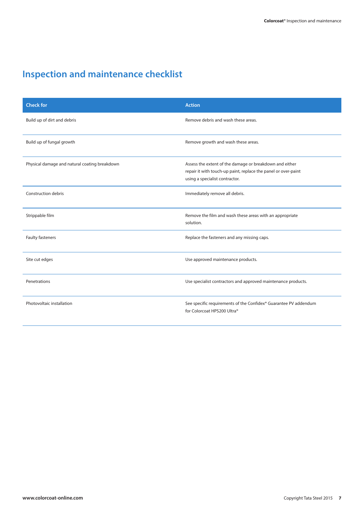### **Inspection and maintenance checklist**

| <b>Check for</b>                              | <b>Action</b>                                                                                                                                               |
|-----------------------------------------------|-------------------------------------------------------------------------------------------------------------------------------------------------------------|
| Build up of dirt and debris                   | Remove debris and wash these areas.                                                                                                                         |
| Build up of fungal growth                     | Remove growth and wash these areas.                                                                                                                         |
| Physical damage and natural coating breakdown | Assess the extent of the damage or breakdown and either<br>repair it with touch-up paint, replace the panel or over-paint<br>using a specialist contractor. |
| <b>Construction debris</b>                    | Immediately remove all debris.                                                                                                                              |
| Strippable film                               | Remove the film and wash these areas with an appropriate<br>solution.                                                                                       |
| Faulty fasteners                              | Replace the fasteners and any missing caps.                                                                                                                 |
| Site cut edges                                | Use approved maintenance products.                                                                                                                          |
| Penetrations                                  | Use specialist contractors and approved maintenance products.                                                                                               |
| Photovoltaic installation                     | See specific requirements of the Confidex® Guarantee PV addendum<br>for Colorcoat HPS200 Ultra®                                                             |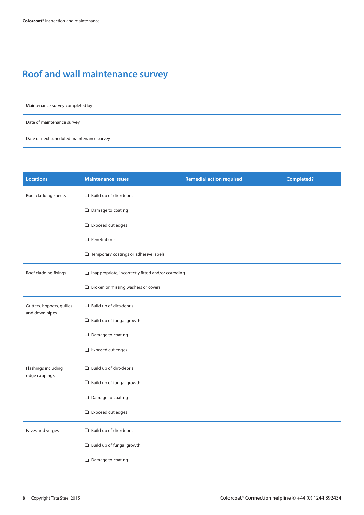### **Roof and wall maintenance survey**

Maintenance survey completed by

Date of maintenance survey

Date of next scheduled maintenance survey

| <b>Locations</b>                            | <b>Maintenance issues</b>                                 | <b>Remedial action required</b> | <b>Completed?</b> |  |  |
|---------------------------------------------|-----------------------------------------------------------|---------------------------------|-------------------|--|--|
| Roof cladding sheets                        | $\Box$ Build up of dirt/debris                            |                                 |                   |  |  |
|                                             | $\Box$ Damage to coating                                  |                                 |                   |  |  |
|                                             | $\Box$ Exposed cut edges                                  |                                 |                   |  |  |
|                                             | $\Box$ Penetrations                                       |                                 |                   |  |  |
|                                             | Temporary coatings or adhesive labels                     |                                 |                   |  |  |
| Roof cladding fixings                       | $\Box$ Inappropriate, incorrectly fitted and/or corroding |                                 |                   |  |  |
|                                             | $\Box$ Broken or missing washers or covers                |                                 |                   |  |  |
| Gutters, hoppers, gullies<br>and down pipes | $\Box$ Build up of dirt/debris                            |                                 |                   |  |  |
|                                             | Build up of fungal growth                                 |                                 |                   |  |  |
|                                             | $\Box$ Damage to coating                                  |                                 |                   |  |  |
|                                             | $\Box$ Exposed cut edges                                  |                                 |                   |  |  |
| Flashings including<br>ridge cappings       | $\Box$ Build up of dirt/debris                            |                                 |                   |  |  |
|                                             | Build up of fungal growth                                 |                                 |                   |  |  |
|                                             | Damage to coating                                         |                                 |                   |  |  |
|                                             | $\Box$ Exposed cut edges                                  |                                 |                   |  |  |
| Eaves and verges                            | $\Box$ Build up of dirt/debris                            |                                 |                   |  |  |
|                                             | Build up of fungal growth                                 |                                 |                   |  |  |
|                                             | Damage to coating                                         |                                 |                   |  |  |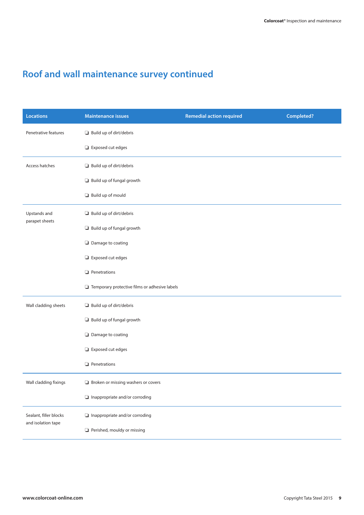### **Roof and wall maintenance survey continued**

| <b>Locations</b>                             | <b>Maintenance issues</b>                            | <b>Remedial action required</b> | Completed? |
|----------------------------------------------|------------------------------------------------------|---------------------------------|------------|
| Penetrative features                         | $\Box$ Build up of dirt/debris                       |                                 |            |
|                                              | Exposed cut edges                                    |                                 |            |
| Access hatches                               | $\Box$ Build up of dirt/debris                       |                                 |            |
|                                              | Build up of fungal growth                            |                                 |            |
|                                              | Build up of mould                                    |                                 |            |
| Upstands and<br>parapet sheets               | $\Box$ Build up of dirt/debris                       |                                 |            |
|                                              | Build up of fungal growth                            |                                 |            |
|                                              | $\Box$ Damage to coating                             |                                 |            |
|                                              | $\Box$ Exposed cut edges                             |                                 |            |
|                                              | $\Box$ Penetrations                                  |                                 |            |
|                                              | $\Box$ Temporary protective films or adhesive labels |                                 |            |
| Wall cladding sheets                         | $\Box$ Build up of dirt/debris                       |                                 |            |
|                                              | Build up of fungal growth                            |                                 |            |
|                                              | $\Box$ Damage to coating                             |                                 |            |
|                                              | $\Box$ Exposed cut edges                             |                                 |            |
|                                              | $\Box$ Penetrations                                  |                                 |            |
| Wall cladding fixings                        | $\Box$ Broken or missing washers or covers           |                                 |            |
|                                              | $\Box$ Inappropriate and/or corroding                |                                 |            |
| Sealant, filler blocks<br>and isolation tape | $\Box$ Inappropriate and/or corroding                |                                 |            |
|                                              | $\Box$ Perished, mouldy or missing                   |                                 |            |